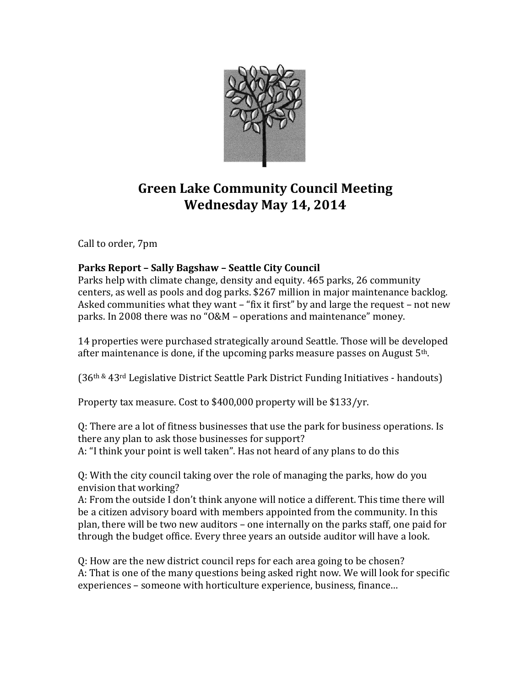

# **Green Lake Community Council Meeting Wednesday May 14, 2014**

Call to order, 7pm

## **Parks Report – Sally Bagshaw – Seattle City Council**

Parks help with climate change, density and equity. 465 parks, 26 community centers, as well as pools and dog parks. \$267 million in major maintenance backlog. Asked communities what they want – "fix it first" by and large the request – not new parks. In 2008 there was no "O&M – operations and maintenance" money.

14 properties were purchased strategically around Seattle. Those will be developed after maintenance is done, if the upcoming parks measure passes on August  $5<sup>th</sup>$ .

(36th & 43rd Legislative District Seattle Park District Funding Initiatives - handouts)

Property tax measure. Cost to \$400,000 property will be \$133/yr.

Q: There are a lot of fitness businesses that use the park for business operations. Is there any plan to ask those businesses for support? A: "I think your point is well taken". Has not heard of any plans to do this

Q: With the city council taking over the role of managing the parks, how do you envision that working?

A: From the outside I don't think anyone will notice a different. This time there will be a citizen advisory board with members appointed from the community. In this plan, there will be two new auditors – one internally on the parks staff, one paid for through the budget office. Every three years an outside auditor will have a look.

Q: How are the new district council reps for each area going to be chosen? A: That is one of the many questions being asked right now. We will look for specific experiences – someone with horticulture experience, business, finance…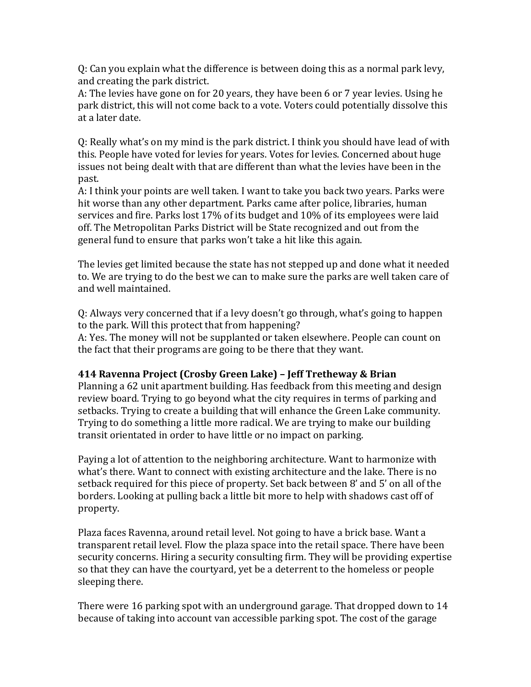Q: Can you explain what the difference is between doing this as a normal park levy, and creating the park district.

A: The levies have gone on for 20 years, they have been 6 or 7 year levies. Using he park district, this will not come back to a vote. Voters could potentially dissolve this at a later date.

Q: Really what's on my mind is the park district. I think you should have lead of with this. People have voted for levies for years. Votes for levies. Concerned about huge issues not being dealt with that are different than what the levies have been in the past.

A: I think your points are well taken. I want to take you back two years. Parks were hit worse than any other department. Parks came after police, libraries, human services and fire. Parks lost 17% of its budget and 10% of its employees were laid off. The Metropolitan Parks District will be State recognized and out from the general fund to ensure that parks won't take a hit like this again.

The levies get limited because the state has not stepped up and done what it needed to. We are trying to do the best we can to make sure the parks are well taken care of and well maintained.

Q: Always very concerned that if a levy doesn't go through, what's going to happen to the park. Will this protect that from happening?

A: Yes. The money will not be supplanted or taken elsewhere. People can count on the fact that their programs are going to be there that they want.

#### **414 Ravenna Project (Crosby Green Lake) – Jeff Tretheway & Brian**

Planning a 62 unit apartment building. Has feedback from this meeting and design review board. Trying to go beyond what the city requires in terms of parking and setbacks. Trying to create a building that will enhance the Green Lake community. Trying to do something a little more radical. We are trying to make our building transit orientated in order to have little or no impact on parking.

Paying a lot of attention to the neighboring architecture. Want to harmonize with what's there. Want to connect with existing architecture and the lake. There is no setback required for this piece of property. Set back between 8' and 5' on all of the borders. Looking at pulling back a little bit more to help with shadows cast off of property.

Plaza faces Ravenna, around retail level. Not going to have a brick base. Want a transparent retail level. Flow the plaza space into the retail space. There have been security concerns. Hiring a security consulting firm. They will be providing expertise so that they can have the courtyard, yet be a deterrent to the homeless or people sleeping there.

There were 16 parking spot with an underground garage. That dropped down to 14 because of taking into account van accessible parking spot. The cost of the garage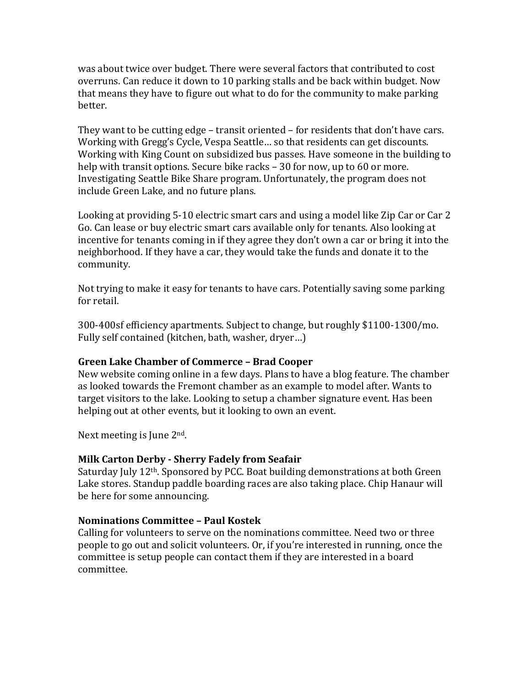was about twice over budget. There were several factors that contributed to cost overruns. Can reduce it down to 10 parking stalls and be back within budget. Now that means they have to figure out what to do for the community to make parking better.

They want to be cutting edge – transit oriented – for residents that don't have cars. Working with Gregg's Cycle, Vespa Seattle… so that residents can get discounts. Working with King Count on subsidized bus passes. Have someone in the building to help with transit options. Secure bike racks – 30 for now, up to 60 or more. Investigating Seattle Bike Share program. Unfortunately, the program does not include Green Lake, and no future plans.

Looking at providing 5-10 electric smart cars and using a model like Zip Car or Car 2 Go. Can lease or buy electric smart cars available only for tenants. Also looking at incentive for tenants coming in if they agree they don't own a car or bring it into the neighborhood. If they have a car, they would take the funds and donate it to the community.

Not trying to make it easy for tenants to have cars. Potentially saving some parking for retail.

300-400sf efficiency apartments. Subject to change, but roughly \$1100-1300/mo. Fully self contained (kitchen, bath, washer, dryer…)

#### **Green Lake Chamber of Commerce – Brad Cooper**

New website coming online in a few days. Plans to have a blog feature. The chamber as looked towards the Fremont chamber as an example to model after. Wants to target visitors to the lake. Looking to setup a chamber signature event. Has been helping out at other events, but it looking to own an event.

Next meeting is June 2nd.

#### **Milk Carton Derby - Sherry Fadely from Seafair**

Saturday July 12th. Sponsored by PCC. Boat building demonstrations at both Green Lake stores. Standup paddle boarding races are also taking place. Chip Hanaur will be here for some announcing.

#### **Nominations Committee – Paul Kostek**

Calling for volunteers to serve on the nominations committee. Need two or three people to go out and solicit volunteers. Or, if you're interested in running, once the committee is setup people can contact them if they are interested in a board committee.